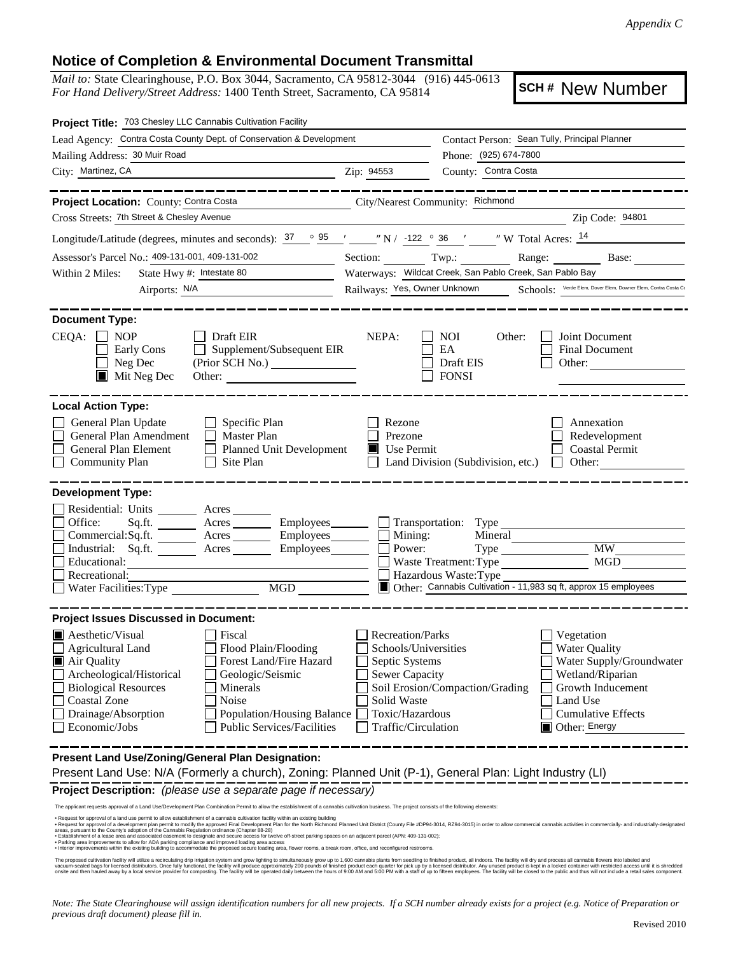## **Notice of Completion & Environmental Document Transmittal**

*Mail to:* State Clearinghouse, P.O. Box 3044, Sacramento, CA 95812-3044 (916) 445-0613 *For Hand Delivery/Street Address:* 1400 Tenth Street, Sacramento, CA 95814

**SCH #** New Number

| Project Title: 703 Chesley LLC Cannabis Cultivation Facility                                  |                                                                                                                                                                                                                                                                                                                                                                                                         |                                                                                            |                                                         |                                                                                  |
|-----------------------------------------------------------------------------------------------|---------------------------------------------------------------------------------------------------------------------------------------------------------------------------------------------------------------------------------------------------------------------------------------------------------------------------------------------------------------------------------------------------------|--------------------------------------------------------------------------------------------|---------------------------------------------------------|----------------------------------------------------------------------------------|
|                                                                                               | Lead Agency: Contra Costa County Dept. of Conservation & Development                                                                                                                                                                                                                                                                                                                                    | Contact Person: Sean Tully, Principal Planner                                              |                                                         |                                                                                  |
| Mailing Address: 30 Muir Road                                                                 |                                                                                                                                                                                                                                                                                                                                                                                                         |                                                                                            | Phone: (925) 674-7800                                   |                                                                                  |
| City: Martinez, CA                                                                            |                                                                                                                                                                                                                                                                                                                                                                                                         | Zip: 94553                                                                                 | County: Contra Costa                                    |                                                                                  |
| Project Location: County: Contra Costa                                                        | City/Nearest Community: Richmond                                                                                                                                                                                                                                                                                                                                                                        |                                                                                            |                                                         |                                                                                  |
| Cross Streets: 7th Street & Chesley Avenue                                                    |                                                                                                                                                                                                                                                                                                                                                                                                         |                                                                                            |                                                         | Zip Code: 94801                                                                  |
|                                                                                               | Longitude/Latitude (degrees, minutes and seconds): $\frac{37}{25}$ $\frac{95}{25}$ $\frac{1}{27}$ $\frac{122}{27}$ 36 $\frac{1}{27}$ $\frac{12}{27}$ $\frac{14}{27}$                                                                                                                                                                                                                                    |                                                                                            |                                                         |                                                                                  |
| Assessor's Parcel No.: 409-131-001, 409-131-002                                               |                                                                                                                                                                                                                                                                                                                                                                                                         |                                                                                            | Section: Twp.:                                          | Range: Base:                                                                     |
| State Hwy #: Intestate 80<br>Within 2 Miles:                                                  |                                                                                                                                                                                                                                                                                                                                                                                                         | Waterways: Wildcat Creek, San Pablo Creek, San Pablo Bay                                   |                                                         |                                                                                  |
|                                                                                               |                                                                                                                                                                                                                                                                                                                                                                                                         | Railways: Yes, Owner Unknown Schools: Verde Elem, Dover Elem, Downer Elem, Contra Costa Co |                                                         |                                                                                  |
| <b>Document Type:</b>                                                                         |                                                                                                                                                                                                                                                                                                                                                                                                         |                                                                                            |                                                         |                                                                                  |
| $CEQA: \Box NP$<br>Early Cons<br>Neg Dec<br>$\blacksquare$ Mit Neg Dec                        | $\Box$ Draft EIR<br>Supplement/Subsequent EIR<br>Other:                                                                                                                                                                                                                                                                                                                                                 | NEPA:                                                                                      | <b>NOI</b><br>Other:<br>EA<br>Draft EIS<br><b>FONSI</b> | Joint Document<br><b>Final Document</b><br>Other: $\qquad \qquad$                |
| <b>Local Action Type:</b>                                                                     |                                                                                                                                                                                                                                                                                                                                                                                                         |                                                                                            |                                                         |                                                                                  |
| General Plan Update<br>General Plan Amendment<br>General Plan Element<br>Community Plan       | Specific Plan<br>Master Plan<br>П<br><b>Planned Unit Development</b><br>Site Plan<br>$\perp$                                                                                                                                                                                                                                                                                                            | Rezone<br>$\Box$<br>Prezone<br>$\blacksquare$ Use Permit                                   | Land Division (Subdivision, etc.)                       | Annexation<br>Redevelopment<br><b>Coastal Permit</b><br>Other:<br>$\mathbb{R}^n$ |
| <b>Development Type:</b>                                                                      |                                                                                                                                                                                                                                                                                                                                                                                                         |                                                                                            |                                                         |                                                                                  |
| Residential: Units ________ Acres _______                                                     |                                                                                                                                                                                                                                                                                                                                                                                                         |                                                                                            |                                                         |                                                                                  |
| Office:<br>Sq.fit.                                                                            | Acres Employees                                                                                                                                                                                                                                                                                                                                                                                         |                                                                                            | Transportation: Type                                    |                                                                                  |
|                                                                                               | Commercial:Sq.ft. Acres Employees                                                                                                                                                                                                                                                                                                                                                                       | $\Box$ Mining:                                                                             | Mineral                                                 |                                                                                  |
| Educational:                                                                                  | Industrial: Sq.ft. _______ Acres _______ Employees_______                                                                                                                                                                                                                                                                                                                                               | Power:<br>$\Box$                                                                           | <b>Waste Treatment: Type</b>                            | MW .<br>MGD                                                                      |
| Recreational:                                                                                 |                                                                                                                                                                                                                                                                                                                                                                                                         |                                                                                            | Hazardous Waste: Type                                   |                                                                                  |
| Water Facilities: Type                                                                        | MGD MGD                                                                                                                                                                                                                                                                                                                                                                                                 |                                                                                            |                                                         | Other: Cannabis Cultivation - 11,983 sq ft, approx 15 employees                  |
| <b>Project Issues Discussed in Document:</b>                                                  |                                                                                                                                                                                                                                                                                                                                                                                                         |                                                                                            |                                                         |                                                                                  |
| $\blacksquare$ Aesthetic/Visual                                                               | Fiscal                                                                                                                                                                                                                                                                                                                                                                                                  | Recreation/Parks                                                                           |                                                         | Vegetation                                                                       |
| <b>Agricultural Land</b>                                                                      | Flood Plain/Flooding                                                                                                                                                                                                                                                                                                                                                                                    | Schools/Universities                                                                       |                                                         | <b>Water Quality</b>                                                             |
| Air Quality                                                                                   | Forest Land/Fire Hazard                                                                                                                                                                                                                                                                                                                                                                                 | Septic Systems                                                                             |                                                         | Water Supply/Groundwater                                                         |
| Archeological/Historical                                                                      | Geologic/Seismic                                                                                                                                                                                                                                                                                                                                                                                        | Sewer Capacity                                                                             |                                                         | Wetland/Riparian                                                                 |
| <b>Biological Resources</b>                                                                   | Minerals                                                                                                                                                                                                                                                                                                                                                                                                |                                                                                            | Soil Erosion/Compaction/Grading                         | Growth Inducement                                                                |
| Coastal Zone                                                                                  | Noise                                                                                                                                                                                                                                                                                                                                                                                                   | Solid Waste                                                                                |                                                         | Land Use                                                                         |
| Drainage/Absorption<br>Economic/Jobs                                                          | Population/Housing Balance<br><b>Public Services/Facilities</b>                                                                                                                                                                                                                                                                                                                                         | Toxic/Hazardous<br>Traffic/Circulation                                                     |                                                         | <b>Cumulative Effects</b><br>$\Box$ Other: Energy                                |
|                                                                                               |                                                                                                                                                                                                                                                                                                                                                                                                         |                                                                                            |                                                         |                                                                                  |
| Present Land Use/Zoning/General Plan Designation:                                             |                                                                                                                                                                                                                                                                                                                                                                                                         |                                                                                            |                                                         |                                                                                  |
|                                                                                               | Present Land Use: N/A (Formerly a church), Zoning: Planned Unit (P-1), General Plan: Light Industry (LI)                                                                                                                                                                                                                                                                                                |                                                                                            |                                                         |                                                                                  |
|                                                                                               | Project Description: (please use a separate page if necessary)                                                                                                                                                                                                                                                                                                                                          |                                                                                            |                                                         |                                                                                  |
|                                                                                               | The applicant requests approval of a Land Use/Development Plan Combination Permit to allow the establishment of a cannabis cultivation business. The project consists of the following elements:<br>Request for approval of a land use permit to allow establishment of a cannabis cultivation facility within an existing building                                                                     |                                                                                            |                                                         |                                                                                  |
| areas, pursuant to the County's adoption of the Cannabis Regulation ordinance (Chapter 88-28) | . Request for approval of a development plan permit to modify the approved Final Development Plan for the North Richmond Planned Unit District (County File #DP94-3014, RZ94-3015) in order to allow commercial cannabis activ<br>· Establishment of a lease area and associated easement to designate and secure access for twelve off-street parking spaces on an adjacent parcel (APN: 409-131-002); |                                                                                            |                                                         |                                                                                  |

• Establishment of a lease area and associated easement to designate and secure access for twelve off-street parking spaces on an adjacent parcel (APN: 409-131-002);<br>• Parking area improvements to allow for ADA parking co

The proposed cultivation facility will utilize a recirculating drip irrigation system and grow lighting to simultaneously grow up to 1,600 cannabis plants from seedling to finished product, all indoors. The facility will d

*Note: The State Clearinghouse will assign identification numbers for all new projects. If a SCH number already exists for a project (e.g. Notice of Preparation or previous draft document) please fill in.*